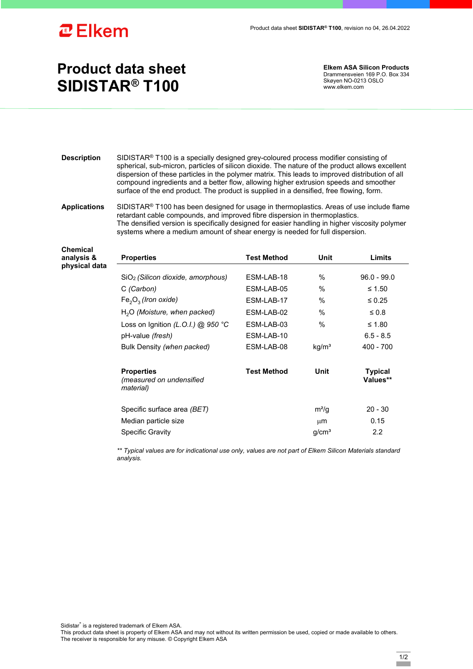

**Chemical analysis &** 

## **Product data sheet SIDISTAR® T100**

**Elkem ASA Silicon Products**  Drammensveien 169 P.O. Box 334 Skøyen NO-0213 OSLO www.elkem.com

**Description** SIDISTAR® T100 is a specially designed grey-coloured process modifier consisting of spherical, sub-micron, particles of silicon dioxide. The nature of the product allows excellent dispersion of these particles in the polymer matrix. This leads to improved distribution of all compound ingredients and a better flow, allowing higher extrusion speeds and smoother surface of the end product. The product is supplied in a densified, free flowing, form.

## **Applications** SIDISTAR® T100 has been designed for usage in thermoplastics. Areas of use include flame retardant cable compounds, and improved fibre dispersion in thermoplastics. The densified version is specifically designed for easier handling in higher viscosity polymer systems where a medium amount of shear energy is needed for full dispersion.

| analysis &    | <b>Properties</b>                                          | <b>Test Method</b> | Unit              | Limits                     |
|---------------|------------------------------------------------------------|--------------------|-------------------|----------------------------|
| physical data |                                                            |                    |                   |                            |
|               | $SiO2$ (Silicon dioxide, amorphous)                        | ESM-LAB-18         | $\%$              | $96.0 - 99.0$              |
|               | C (Carbon)                                                 | ESM-LAB-05         | $\%$              | ≤ 1.50                     |
|               | $Fe2O3$ (Iron oxide)                                       | ESM-LAB-17         | $\%$              | $\leq 0.25$                |
|               | $H2O$ (Moisture, when packed)                              | ESM-LAB-02         | $\%$              | $\leq 0.8$                 |
|               | Loss on Ignition (L.O.I.) @ 950 °C                         | ESM-LAB-03         | $\%$              | ≤ 1.80                     |
|               | pH-value (fresh)                                           | ESM-LAB-10         |                   | $6.5 - 8.5$                |
|               | Bulk Density (when packed)                                 | ESM-LAB-08         | kg/m <sup>3</sup> | $400 - 700$                |
|               | <b>Properties</b><br>(measured on undensified<br>material) | <b>Test Method</b> | Unit              | <b>Typical</b><br>Values** |
|               | Specific surface area (BET)                                |                    | $m^2/q$           | $20 - 30$                  |
|               | Median particle size                                       |                    | $\mu$ m           | 0.15                       |
|               | <b>Specific Gravity</b>                                    |                    | g/cm <sup>3</sup> | $2.2\phantom{0}$           |

*\*\* Typical values are for indicational use only, values are not part of Elkem Silicon Materials standard analysis.* 

Sidistar® is a registered trademark of Elkem ASA.

This product data sheet is property of Elkem ASA and may not without its written permission be used, copied or made available to others. The receiver is responsible for any misuse. © Copyright Elkem ASA